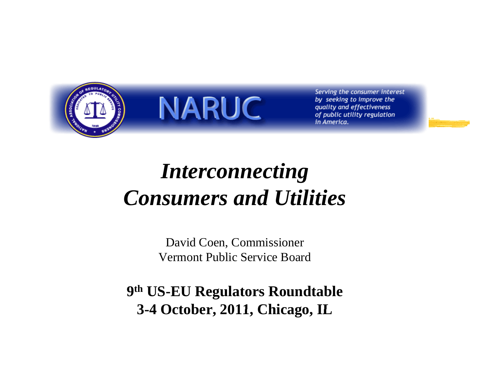



Serving the consumer interest by seeking to improve the quality and effectiveness of public utility regulation in America.

#### *I t ti <sup>n</sup> terconnecting Consumers and Utilities*

David Coen, Commissioner Vermont Public Service Board

**9th US-EU Regulators Roundtable 3 -4 October 2011 Chicago IL 4 October, 2011, Chicago,**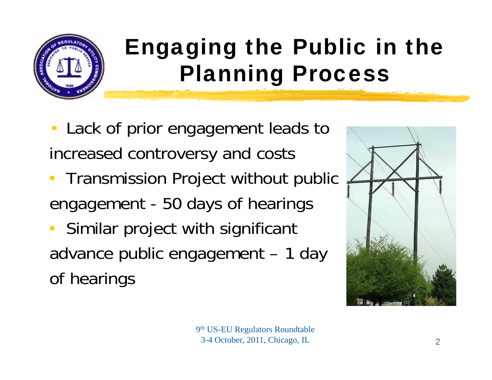

## Engaging the Public in the Planning Process

- $\bullet$ • Lack of prior engagement leads to increased controversy and costs
- Transmission Project without public engagement - 50 days of hearings
- $\bullet$  Similar project with significant advance public engagement – 1 day of hearings



9th US-EU Regulators Roundtable 3-4 October, 2011, Chicago, IL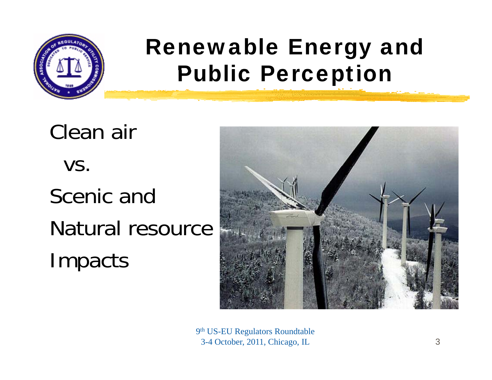

#### Renewable Energy and Public Perception

Clean air vs. Scenic andNatural resourceImpacts



9th US-EU Regulators Roundtable 3-4 October, 2011, Chicago, IL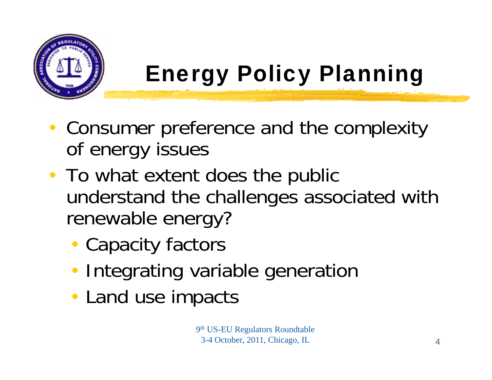

## Energy Policy Planning

- Consumer preference and the complexity of energy issues
- To what extent does the public understand the challenges associated with renewable energy?
	- Capacity factors
	- **Integrating variable generation**
	- Land use impacts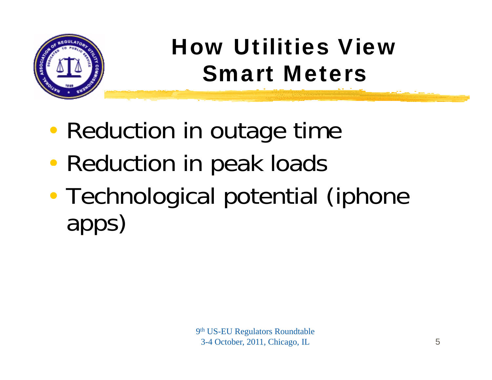

## How Utilities View Smart Meters

- $\bullet$ • Reduction in outage time
- $\bullet$ • Reduction in peak loads
- $\bullet$  Technological potential (iphone apps)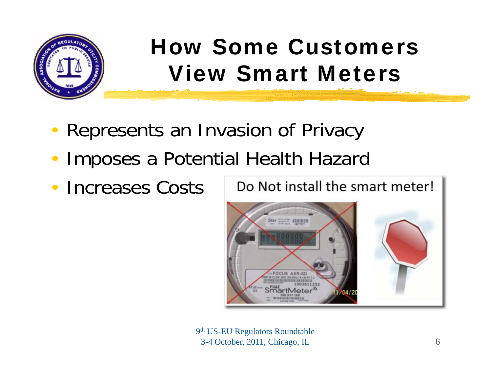

#### How Some Customers View Smart Meters

- •Represents an Invasion of Privacy
- $\bullet$ • Imposes a Potential Health Hazard
- $\bullet$ Increases Costs



9th US-EU Regulators Roundtable 3-4 October, 2011, Chicago, IL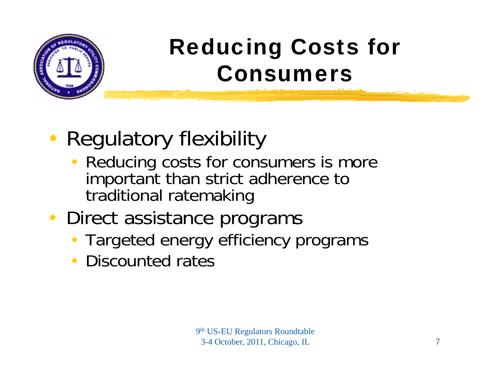

#### Reducing Costs for Consumers

#### • Regulatory flexibility

- Reducing costs for consumers is more important than strict adherence to traditional ratemaking
- Direct assistance programs
	- Targeted energy efficiency programs
	- Discounted rates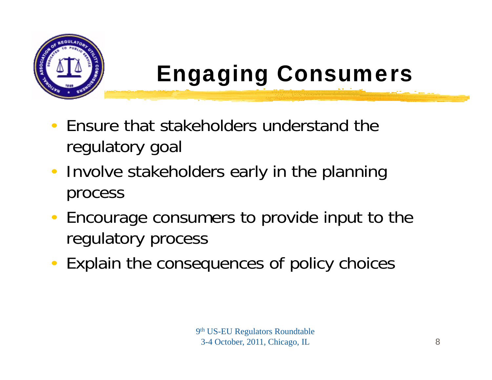

## Engaging Consumers

- $\bullet$  Ensure that stakeholders understand the regulatory goal
- $\bullet$ • Involve stakeholders early in the planning process
- •Encourage consumers to provide input to the regulatory process
- •Explain the consequences of policy choices